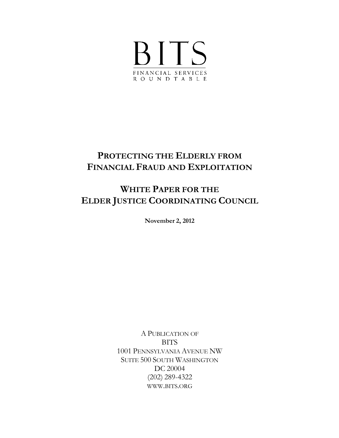

# **PROTECTING THE ELDERLY FROM FINANCIAL FRAUD AND EXPLOITATION**

# **WHITE PAPER FOR THE ELDER JUSTICE COORDINATING COUNCIL**

**November 2, 2012**

A PUBLICATION OF **BITS** 1001 PENNSYLVANIA AVENUE NW SUITE 500 SOUTH WASHINGTON DC 20004 (202) 289-4322 [WWW.BITS.ORG](http://www.bits.org/)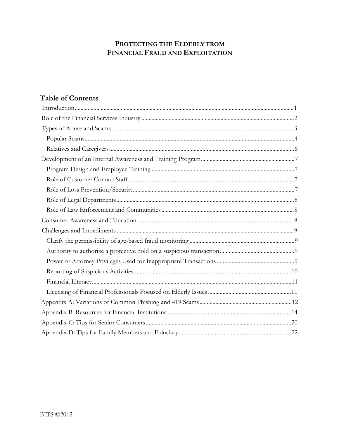# PROTECTING THE ELDERLY FROM FINANCIAL FRAUD AND EXPLOITATION

# **Table of Contents**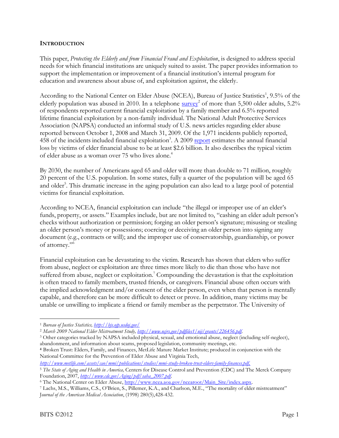### **INTRODUCTION**

This paper, *Protecting the Elderly and from Financial Fraud and Exploitation*, is designed to address special needs for which financial institutions are uniquely suited to assist. The paper provides information to support the implementation or improvement of a financial institution's internal program for education and awareness about abuse of, and exploitation against, the elderly.

According to the National Center on Elder Abuse (NCEA), Bureau of Justice Statistics<sup>1</sup>, 9.5% of the elderly population was abused in 2010. In a telephone  $\frac{\text{survey}^2}{\text{output}}$  of more than 5,500 older adults, 5.2% of respondents reported current financial exploitation by a family member and 6.5% reported lifetime financial exploitation by a non-family individual. The National Adult Protective Services Association (NAPSA) conducted an informal study of U.S. news articles regarding elder abuse reported between October 1, 2008 and March 31, 2009. Of the 1,971 incidents publicly reported, 458 of the incidents included financial exploitation<sup>3</sup>. A 2009 [report e](http://www.metlife.com/assets/cao/mmi/publications/studies/mmi-study-broken-trust-elders-family-finances.pdf)stimates the annual financial loss by victims of elder financial abuse to be at least \$2.6 billion. It also describes the typical victim of elder abuse as a woman over 75 who lives alone. 4

By 2030, the number of Americans aged 65 and older will more than double to 71 million, roughly 20 percent of the U.S. population. In some states, fully a quarter of the population will be aged 65 and older<sup>5</sup>. This dramatic increase in the aging population can also lead to a large pool of potential victims for financial exploitation.

According to NCEA, financial exploitation can include "the illegal or improper use of an elder's funds, property, or assets." Examples include, but are not limited to, "cashing an elder adult person's checks without authorization or permission; forging an older person's signature; misusing or stealing an older person's money or possessions; coercing or deceiving an older person into signing any document (e.g., contracts or will); and the improper use of conservatorship, guardianship, or power of attorney."6

Financial exploitation can be devastating to the victim. Research has shown that elders who suffer from abuse, neglect or exploitation are three times more likely to die than those who have not suffered from abuse, neglect or exploitation.<sup>7</sup> Compounding the devastation is that the exploitation is often traced to family members, trusted friends, or caregivers. Financial abuse often occurs with the implied acknowledgment and/or consent of the elder person, even when that person is mentally capable, and therefore can be more difficult to detect or prove. In addition, many victims may be unable or unwilling to implicate a friend or family member as the perpetrator. The University of

<sup>1</sup>*Bureau of Justice Statistics, <http://bjs.ojp.usdoj.gov/>*

<sup>2</sup>*March 2009 National Elder Mistreatment Study,<http://www.ncjrs.gov/pdffiles1/nij/grants/226456.pdf>*.

<sup>3</sup> Other categories tracked by NAPSA included physical, sexual, and emotional abuse, neglect (including self-neglect), abandonment, and information about scams, proposed legislation, community meetings, etc.

**<sup>4</sup>**Broken Trust: Elders, Family, and Finances, MetLife Mature Market Institute; produced in conjunction with the National Committee for the Prevention of Elder Abuse and Virginia Tech,

*[http://www.metlife.com/assets/cao/mmi/publications/studies/mmi-study-broken-trust-elders-family-finances.pdf.](http://www.metlife.com/assets/cao/mmi/publications/studies/mmi-study-broken-trust-elders-family-finances.pdf)*

<sup>5</sup>*The State of Aging and Health in America,* Centers for Disease Control and Prevention (CDC) and The Merck Company Foundation, 2007, *[http://www.cdc.gov/Aging/pdf/saha\\_2007.pdf](http://www.cdc.gov/Aging/pdf/saha_2007.pdf)*.

<sup>&</sup>lt;sup>6</sup> The National Center on Elder Abuse, [http://www.ncea.aoa.gov/ncearoot/Main\\_Site/index.aspx.](http://www.ncea.aoa.gov/ncearoot/Main_Site/index.aspx)

<sup>7</sup> Lachs, M.S., Williams, C.S., O'Brien, S., Pillemer, K.A., and Charlson, M.E., "The mortality of elder mistreatment" J*ournal of the American Medical Association*, (1998) 280(5),428-432.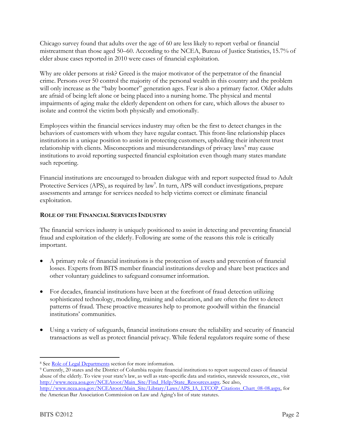Chicago survey found that adults over the age of 60 are less likely to report verbal or financial mistreatment than those aged 50–60. According to the NCEA, Bureau of Justice Statistics, 15.7% of elder abuse cases reported in 2010 were cases of financial exploitation.

Why are older persons at risk? Greed is the major motivator of the perpetrator of the financial crime. Persons over 50 control the majority of the personal wealth in this country and the problem will only increase as the "baby boomer" generation ages. Fear is also a primary factor. Older adults are afraid of being left alone or being placed into a nursing home. The physical and mental impairments of aging make the elderly dependent on others for care, which allows the abuser to isolate and control the victim both physically and emotionally.

Employees within the financial services industry may often be the first to detect changes in the behaviors of customers with whom they have regular contact. This front-line relationship places institutions in a unique position to assist in protecting customers, upholding their inherent trust relationship with clients. Misconceptions and misunderstandings of privacy laws<sup>8</sup> may cause institutions to avoid reporting suspected financial exploitation even though many states mandate such reporting.

Financial institutions are encouraged to broaden dialogue with and report suspected fraud to Adult Protective Services (APS), as required by law<sup>9</sup>. In turn, APS will conduct investigations, prepare assessments and arrange for services needed to help victims correct or eliminate financial exploitation.

# **ROLE OF THE FINANCIAL SERVICES INDUSTRY**

The financial services industry is uniquely positioned to assist in detecting and preventing financial fraud and exploitation of the elderly. Following are some of the reasons this role is critically important.

- A primary role of financial institutions is the protection of assets and prevention of financial losses. Experts from BITS member financial institutions develop and share best practices and other voluntary guidelines to safeguard consumer information.
- For decades, financial institutions have been at the forefront of fraud detection utilizing sophisticated technology, modeling, training and education, and are often the first to detect patterns of fraud. These proactive measures help to promote goodwill within the financial institutions' communities.
- Using a variety of safeguards, financial institutions ensure the reliability and security of financial transactions as well as protect financial privacy. While federal regulators require some of these

<sup>&</sup>lt;sup>8</sup> See <u>Role of Legal Departments</u> section for more information.<br><sup>9</sup> Currently, 20 states and the District of Columbia require financial institutions to report suspected cases of financial abuse of the elderly. To view your state's law, as well as state-specific data and statistics, statewide resources, etc., visit [http://www.ncea.aoa.gov/NCEAroot/Main\\_Site/Find\\_Help/State\\_Resources.aspx. S](http://www.ncea.aoa.gov/NCEAroot/Main_Site/Find_Help/State_Resources.aspx)ee also, [http://www.ncea.aoa.gov/NCEAroot/Main\\_Site/Library/Laws/APS\\_IA\\_LTCOP\\_Citations\\_Chart\\_08-08.aspx, f](http://www.ncea.aoa.gov/NCEAroot/Main_Site/Library/Laws/APS_IA_LTCOP_Citations_Chart_08-08.aspx)or the American Bar Association Commission on Law and Aging's list of state statutes.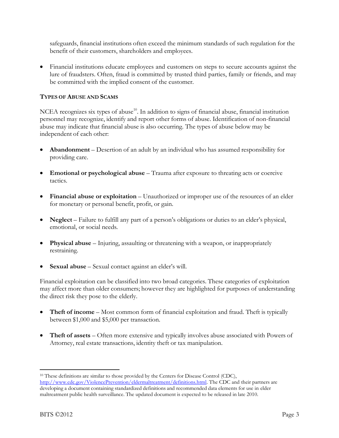safeguards, financial institutions often exceed the minimum standards of such regulation for the benefit of their customers, shareholders and employees.

• Financial institutions educate employees and customers on steps to secure accounts against the lure of fraudsters. Often, fraud is committed by trusted third parties, family or friends, and may be committed with the implied consent of the customer.

# **TYPES OF ABUSE AND SCAMS**

NCEA recognizes six types of abuse<sup>10</sup>. In addition to signs of financial abuse, financial institution personnel may recognize, identify and report other forms of abuse. Identification of non-financial abuse may indicate that financial abuse is also occurring. The types of abuse below may be independent of each other:

- **Abandonment** Desertion of an adult by an individual who has assumed responsibility for providing care.
- **Emotional or psychological abuse** Trauma after exposure to threating acts or coercive tactics.
- **Financial abuse or exploitation** Unauthorized or improper use of the resources of an elder for monetary or personal benefit, profit, or gain.
- **Neglect** Failure to fulfill any part of a person's obligations or duties to an elder's physical, emotional, or social needs.
- **Physical abuse** Injuring, assaulting or threatening with a weapon, or inappropriately restraining.
- **Sexual abuse** Sexual contact against an elder's will.

Financial exploitation can be classified into two broad categories. These categories of exploitation may affect more than older consumers; however they are highlighted for purposes of understanding the direct risk they pose to the elderly.

- **Theft of income** Most common form of financial exploitation and fraud. Theft is typically between \$1,000 and \$5,000 per transaction.
- **Theft of assets** Often more extensive and typically involves abuse associated with Powers of Attorney, real estate transactions, identity theft or tax manipulation.

<sup>&</sup>lt;sup>10</sup> These definitions are similar to those provided by the Centers for Disease Control (CDC), [http://www.cdc.gov/ViolencePrevention/eldermaltreatment/definitions.html. T](http://www.cdc.gov/ViolencePrevention/eldermaltreatment/definitions.html)he CDC and their partners are developing a document containing standardized definitions and recommended data elements for use in elder maltreatment public health surveillance. The updated document is expected to be released in late 2010.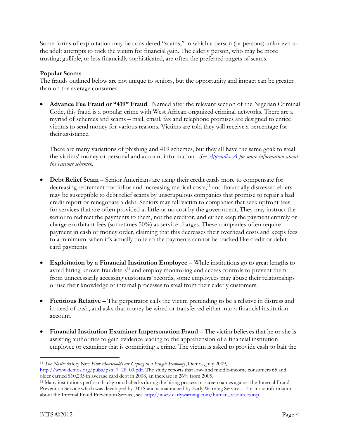Some forms of exploitation may be considered "scams," in which a person (or persons) unknown to the adult attempts to trick the victim for financial gain. The elderly person, who may be more trusting, gullible, or less financially sophisticated, are often the preferred targets of scams.

# **Popular Scams**

The frauds outlined below are not unique to seniors, but the opportunity and impact can be greater than on the average consumer.

• **Advance Fee Fraud or "419" Fraud**. Named after the relevant section of the Nigerian Criminal Code, this fraud is a popular crime with West African organized criminal networks. There are a myriad of schemes and scams – mail, email, fax and telephone promises are designed to entice victims to send money for various reasons. Victims are told they will receive a percentage for their assistance.

There are many variations of phishing and 419 schemes, but they all have the same goal: to steal the victims' money or personal and account information. *See Appendix A for more information about the various scheme*s.

- **Debt Relief Scam** Senior Americans are using their credit cards more to compensate for decreasing retirement portfolios and increasing medical costs, $11$  and financially distressed elders may be susceptible to debt relief scams by unscrupulous companies that promise to repair a bad credit report or renegotiate a debt. Seniors may fall victim to companies that seek upfront fees for services that are often provided at little or no cost by the government. They may instruct the senior to redirect the payments to them, not the creditor, and either keep the payment entirely or charge exorbitant fees (sometimes 50%) as service charges. These companies often require payment in cash or money order, claiming that this decreases their overhead costs and keeps fees to a minimum, when it's actually done so the payments cannot be tracked like credit or debit card payments
- **Exploitation by a Financial Institution Employee** While institutions go to great lengths to avoid hiring known fraudsters<sup>12</sup> and employ monitoring and access controls to prevent them from unnecessarily accessing customers' records, some employees may abuse their relationships or use their knowledge of internal processes to steal from their elderly customers.
- **Fictitious Relative** The perpetrator calls the victim pretending to be a relative in distress and in need of cash, and asks that money be wired or transferred either into a financial institution account.
- **Financial Institution Examiner Impersonation Fraud** The victim believes that he or she is assisting authorities to gain evidence leading to the apprehension of a financial institution employee or examiner that is committing a crime. The victim is asked to provide cash to bait the

<sup>11</sup>*The Plastic* Safety Net*: How Households are Coping in a Fragile Economy*, Demos, July 2009, [http://www.demos.org/pubs/psn\\_7\\_28\\_09.pdf. T](http://www.demos.org/pubs/psn_7_28_09.pdf)he study reports that low- and middle-income consumers 65 and

older carried \$10,235 in average card debt in 2008, an increase in 26% from 2005,<br><sup>12</sup> Many institutions perform background checks during the hiring process or screen names against the Internal Fraud Prevention Service which was developed by BITS and is maintained by Early Warning Services. For more information about the Internal Fraud Prevention Service, see [http://www.earlywarning.com/human\\_resources.asp.](http://www.earlywarning.com/human_resources.asp)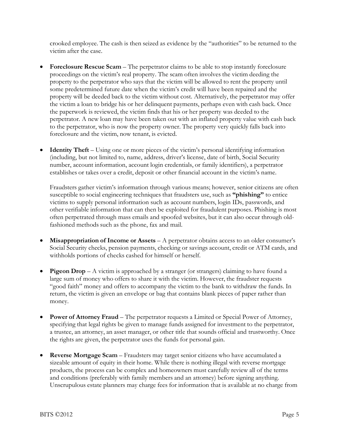crooked employee. The cash is then seized as evidence by the "authorities" to be returned to the victim after the case.

- **Foreclosure Rescue Scam** The perpetrator claims to be able to stop instantly foreclosure proceedings on the victim's real property. The scam often involves the victim deeding the property to the perpetrator who says that the victim will be allowed to rent the property until some predetermined future date when the victim's credit will have been repaired and the property will be deeded back to the victim without cost. Alternatively, the perpetrator may offer the victim a loan to bridge his or her delinquent payments, perhaps even with cash back. Once the paperwork is reviewed, the victim finds that his or her property was deeded to the perpetrator. A new loan may have been taken out with an inflated property value with cash back to the perpetrator, who is now the property owner. The property very quickly falls back into foreclosure and the victim, now tenant, is evicted.
- **Identity Theft** Using one or more pieces of the victim's personal identifying information (including, but not limited to, name, address, driver's license, date of birth, Social Security number, account information, account login credentials, or family identifiers), a perpetrator establishes or takes over a credit, deposit or other financial account in the victim's name.

Fraudsters gather victim's information through various means; however, senior citizens are often susceptible to social engineering techniques that fraudsters use, such as **"phishing"** to entice victims to supply personal information such as account numbers, login IDs, passwords, and other verifiable information that can then be exploited for fraudulent purposes. Phishing is most often perpetrated through mass emails and spoofed websites, but it can also occur through oldfashioned methods such as the phone, fax and mail.

- **Misappropriation of Income or Assets** A perpetrator obtains access to an older consumer's Social Security checks, pension payments, checking or savings account, credit or ATM cards, and withholds portions of checks cashed for himself or herself.
- **Pigeon Drop** A victim is approached by a stranger (or strangers) claiming to have found a large sum of money who offers to share it with the victim. However, the fraudster requests "good faith" money and offers to accompany the victim to the bank to withdraw the funds. In return, the victim is given an envelope or bag that contains blank pieces of paper rather than money.
- **Power of Attorney Fraud**  The perpetrator requests a Limited or Special Power of Attorney, specifying that legal rights be given to manage funds assigned for investment to the perpetrator, a trustee, an attorney, an asset manager, or other title that sounds official and trustworthy. Once the rights are given, the perpetrator uses the funds for personal gain.
- **Reverse Mortgage Scam** Fraudsters may target senior citizens who have accumulated a sizeable amount of equity in their home. While there is nothing illegal with reverse mortgage products, the process can be complex and homeowners must carefully review all of the terms and conditions (preferably with family members and an attorney) before signing anything. Unscrupulous estate planners may charge fees for information that is available at no charge from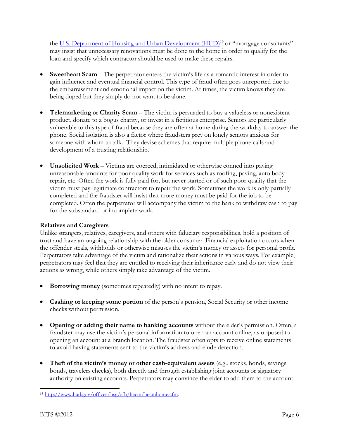the <u>[U.S. Department of Housing and Urban Development \(HUD\)](http://www.hud.gov/offices/hsg/sfh/hecm/hecmhome.cfm)</u><sup>13</sup> or "mortgage consultants" may insist that unnecessary renovations must be done to the home in order to qualify for the loan and specify which contractor should be used to make these repairs.

- **Sweetheart Scam** The perpetrator enters the victim's life as a romantic interest in order to gain influence and eventual financial control. This type of fraud often goes unreported due to the embarrassment and emotional impact on the victim. At times, the victim knows they are being duped but they simply do not want to be alone.
- **Telemarketing or Charity Scam** The victim is persuaded to buy a valueless or nonexistent product, donate to a bogus charity, or invest in a fictitious enterprise. Seniors are particularly vulnerable to this type of fraud because they are often at home during the workday to answer the phone. Social isolation is also a factor where fraudsters prey on lonely seniors anxious for someone with whom to talk. They devise schemes that require multiple phone calls and development of a trusting relationship.
- **Unsolicited Work** Victims are coerced, intimidated or otherwise conned into paying unreasonable amounts for poor quality work for services such as roofing, paving, auto body repair, etc. Often the work is fully paid for, but never started or of such poor quality that the victim must pay legitimate contractors to repair the work. Sometimes the work is only partially completed and the fraudster will insist that more money must be paid for the job to be completed. Often the perpetrator will accompany the victim to the bank to withdraw cash to pay for the substandard or incomplete work.

# **Relatives and Caregivers**

Unlike strangers, relatives, caregivers, and others with fiduciary responsibilities, hold a position of trust and have an ongoing relationship with the older consumer. Financial exploitation occurs when the offender steals, withholds or otherwise misuses the victim's money or assets for personal profit. Perpetrators take advantage of the victim and rationalize their actions in various ways. For example, perpetrators may feel that they are entitled to receiving their inheritance early and do not view their actions as wrong, while others simply take advantage of the victim.

- **Borrowing money** (sometimes repeatedly) with no intent to repay.
- **Cashing or keeping some portion** of the person's pension, Social Security or other income checks without permission.
- **Opening or adding their name to banking accounts** without the elder's permission. Often, a fraudster may use the victim's personal information to open an account online, as opposed to opening an account at a branch location. The fraudster often opts to receive online statements to avoid having statements sent to the victim's address and elude detection.
- **Theft of the victim's money or other cash-equivalent assets** (e.g., stocks, bonds, savings bonds, travelers checks), both directly and through establishing joint accounts or signatory authority on existing accounts. Perpetrators may convince the elder to add them to the account

<sup>13</sup> [http://www.hud.gov/offices/hsg/sfh/hecm/hecmhome.cfm.](http://www.hud.gov/offices/hsg/sfh/hecm/hecmhome.cfm)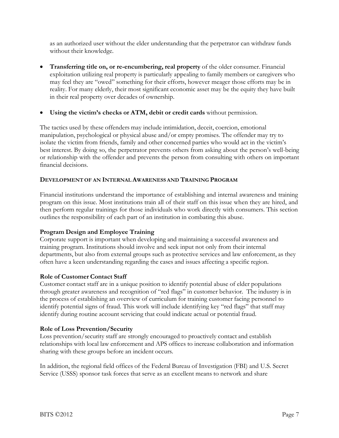as an authorized user without the elder understanding that the perpetrator can withdraw funds without their knowledge.

- **Transferring title on, or re-encumbering, real property** of the older consumer. Financial exploitation utilizing real property is particularly appealing to family members or caregivers who may feel they are "owed" something for their efforts, however meager those efforts may be in reality. For many elderly, their most significant economic asset may be the equity they have built in their real property over decades of ownership.
- **Using the victim's checks or ATM, debit or credit cards** without permission.

The tactics used by these offenders may include intimidation, deceit, coercion, emotional manipulation, psychological or physical abuse and/or empty promises. The offender may try to isolate the victim from friends, family and other concerned parties who would act in the victim's best interest. By doing so, the perpetrator prevents others from asking about the person's well-being or relationship with the offender and prevents the person from consulting with others on important financial decisions.

# **DEVELOPMENT OF AN INTERNALAWARENESS AND TRAINING PROGRAM**

Financial institutions understand the importance of establishing and internal awareness and training program on this issue. Most institutions train all of their staff on this issue when they are hired, and then perform regular trainings for those individuals who work directly with consumers. This section outlines the responsibility of each part of an institution in combating this abuse.

# **Program Design and Employee Training**

Corporate support is important when developing and maintaining a successful awareness and training program. Institutions should involve and seek input not only from their internal departments, but also from external groups such as protective services and law enforcement, as they often have a keen understanding regarding the cases and issues affecting a specific region.

# **Role of Customer Contact Staff**

Customer contact staff are in a unique position to identify potential abuse of elder populations through greater awareness and recognition of "red flags" in customer behavior. The industry is in the process of establishing an overview of curriculum for training customer facing personnel to identify potential signs of fraud. This work will include identifying key "red flags" that staff may identify during routine account servicing that could indicate actual or potential fraud.

# **Role of Loss Prevention/Security**

Loss prevention/security staff are strongly encouraged to proactively contact and establish relationships with local law enforcement and APS offices to increase collaboration and information sharing with these groups before an incident occurs.

In addition, the regional field offices of the Federal Bureau of Investigation (FBI) and U.S. Secret Service (USSS) sponsor task forces that serve as an excellent means to network and share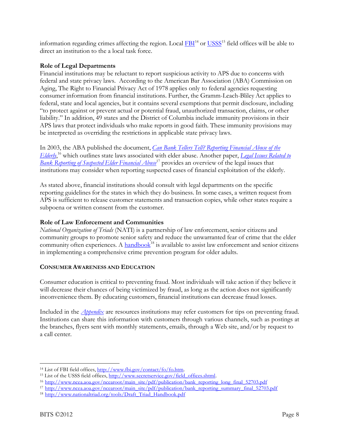information regarding crimes affecting the region. Local  $FBI<sup>14</sup>$  or  $USSS<sup>15</sup>$  field offices will be able to</u> direct an institution to the a local task force.

# **Role of Legal Departments**

Financial institutions may be reluctant to report suspicious activity to APS due to concerns with federal and state privacy laws. According to the American Bar Association (ABA) Commission on Aging, The Right to Financial Privacy Act of 1978 applies only to federal agencies requesting consumer information from financial institutions. Further, the Gramm-Leach-Bliley Act applies to federal, state and local agencies, but it contains several exemptions that permit disclosure, including "to protect against or prevent actual or potential fraud, unauthorized transaction, claims, or other liability." In addition, 49 states and the District of Columbia include immunity provisions in their APS laws that protect individuals who make reports in good faith. These immunity provisions may be interpreted as overriding the restrictions in applicable state privacy laws.

In 2003, the ABA published the document, *[Can Bank Tellers Tell? Reporting Financial Abuse of the](http://www.ncea.aoa.gov/ncearoot/main_site/pdf/publication/bank_reporting_long_final_52703.pdf)  [Elderly](http://www.ncea.aoa.gov/ncearoot/main_site/pdf/publication/bank_reporting_long_final_52703.pdf)*, <sup>16</sup> which outlines state laws associated with elder abuse. Another paper, *[Legal Issues Related to](http://www.ncea.aoa.gov/ncearoot/main_site/pdf/publication/bank_reporting_summary_final_52703.pdf)  [Bank Reporting of Suspected Elder Financial Abuse](http://www.ncea.aoa.gov/ncearoot/main_site/pdf/publication/bank_reporting_summary_final_52703.pdf)* <sup>17</sup> provides an overview of the legal issues that institutions may consider when reporting suspected cases of financial exploitation of the elderly.

As stated above, financial institutions should consult with legal departments on the specific reporting guidelines for the states in which they do business. In some cases, a written request from APS is sufficient to release customer statements and transaction copies, while other states require a subpoena or written consent from the customer.

# **Role of Law Enforcement and Communities**

*National Organization of Triads* (NATI) is a partnership of law enforcement, senior citizens and community groups to promote senior safety and reduce the unwarranted fear of crime that the elder community often experiences. A handbook<sup>18</sup> is available to assist law enforcement and senior citizens in implementing a comprehensive crime prevention program for older adults.

# **CONSUMER AWARENESS AND EDUCATION**

Consumer education is critical to preventing fraud. Most individuals will take action if they believe it will decrease their chances of being victimized by fraud, as long as the action does not significantly inconvenience them. By educating customers, financial institutions can decrease fraud losses.

Included in the *Appendix* are resources institutions may refer customers for tips on preventing fraud. Institutions can share this information with customers through various channels, such as postings at the branches, flyers sent with monthly statements, emails, through a Web site, and/or by request to a call center.

<sup>14</sup> List of FBI field offices[, http://www.fbi.gov/contact/fo/fo.htm.](http://www.fbi.gov/contact/fo/fo.htm)

<sup>&</sup>lt;sup>15</sup> List of the USSS field offices[, http://www.secretservice.gov/field\\_offices.shtml.](http://www.secretservice.gov/field_offices.shtml)

<sup>&</sup>lt;sup>16</sup> [http://www.ncea.aoa.gov/ncearoot/main\\_site/pdf/publication/bank\\_reporting\\_long\\_final\\_52703.pdf](http://www.ncea.aoa.gov/ncearoot/main_site/pdf/publication/bank_reporting_long_final_52703.pdf)

<sup>17</sup> [http://www.ncea.aoa.gov/ncearoot/main\\_site/pdf/publication/bank\\_reporting\\_summary\\_final\\_52703.pdf](http://www.ncea.aoa.gov/ncearoot/main_site/pdf/publication/bank_reporting_summary_final_52703.pdf)

<sup>&</sup>lt;sup>18</sup> [http://www.nationaltriad.org/tools/Draft\\_Triad\\_Handbook.pdf](http://www.nationaltriad.org/tools/Draft_Triad_Handbook.pdf)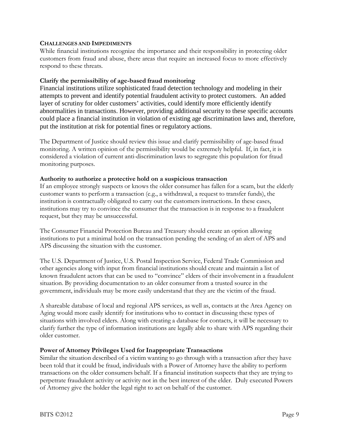#### **CHALLENGES AND IMPEDIMENTS**

While financial institutions recognize the importance and their responsibility in protecting older customers from fraud and abuse, there areas that require an increased focus to more effectively respond to these threats.

## **Clarify the permissibility of age-based fraud monitoring**

Financial institutions utilize sophisticated fraud detection technology and modeling in their attempts to prevent and identify potential fraudulent activity to protect customers. An added layer of scrutiny for older customers' activities, could identify more efficiently identify abnormalities in transactions. However, providing additional security to these specific accounts could place a financial institution in violation of existing age discrimination laws and, therefore, put the institution at risk for potential fines or regulatory actions.

The Department of Justice should review this issue and clarify permissibility of age-based fraud monitoring. A written opinion of the permissibility would be extremely helpful. If, in fact, it is considered a violation of current anti-discrimination laws to segregate this population for fraud monitoring purposes.

#### **Authority to authorize a protective hold on a suspicious transaction**

If an employee strongly suspects or knows the older consumer has fallen for a scam, but the elderly customer wants to perform a transaction (e.g., a withdrawal, a request to transfer funds), the institution is contractually obligated to carry out the customers instructions. In these cases, institutions may try to convince the consumer that the transaction is in response to a fraudulent request, but they may be unsuccessful.

The Consumer Financial Protection Bureau and Treasury should create an option allowing institutions to put a minimal hold on the transaction pending the sending of an alert of APS and APS discussing the situation with the customer.

The U.S. Department of Justice, U.S. Postal Inspection Service, Federal Trade Commission and other agencies along with input from financial institutions should create and maintain a list of known fraudulent actors that can be used to "convince" elders of their involvement in a fraudulent situation. By providing documentation to an older consumer from a trusted source in the government, individuals may be more easily understand that they are the victim of the fraud.

A shareable database of local and regional APS services, as well as, contacts at the Area Agency on Aging would more easily identify for institutions who to contact in discussing these types of situations with involved elders. Along with creating a database for contacts, it will be necessary to clarify further the type of information institutions are legally able to share with APS regarding their older customer.

# **Power of Attorney Privileges Used for Inappropriate Transactions**

Similar the situation described of a victim wanting to go through with a transaction after they have been told that it could be fraud, individuals with a Power of Attorney have the ability to perform transactions on the older consumers behalf. If a financial institution suspects that they are trying to perpetrate fraudulent activity or activity not in the best interest of the elder. Duly executed Powers of Attorney give the holder the legal right to act on behalf of the customer.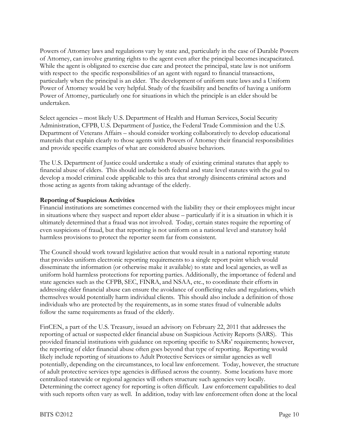Powers of Attorney laws and regulations vary by state and, particularly in the case of Durable Powers of Attorney, can involve granting rights to the agent even after the principal becomes incapacitated. While the agent is obligated to exercise due care and protect the principal, state law is not uniform with respect to the specific responsibilities of an agent with regard to financial transactions, particularly when the principal is an elder. The development of uniform state laws and a Uniform Power of Attorney would be very helpful. Study of the feasibility and benefits of having a uniform Power of Attorney, particularly one for situations in which the principle is an elder should be undertaken.

Select agencies – most likely U.S. Department of Health and Human Services, Social Security Administration, CFPB, U.S. Department of Justice, the Federal Trade Commission and the U.S. Department of Veterans Affairs – should consider working collaboratively to develop educational materials that explain clearly to those agents with Powers of Attorney their financial responsibilities and provide specific examples of what are considered abusive behaviors.

The U.S. Department of Justice could undertake a study of existing criminal statutes that apply to financial abuse of elders. This should include both federal and state level statutes with the goal to develop a model criminal code applicable to this area that strongly disincents criminal actors and those acting as agents from taking advantage of the elderly.

# **Reporting of Suspicious Activities**

Financial institutions are sometimes concerned with the liability they or their employees might incur in situations where they suspect and report elder abuse – particularly if it is a situation in which it is ultimately determined that a fraud was not involved. Today, certain states require the reporting of even suspicions of fraud, but that reporting is not uniform on a national level and statutory hold harmless provisions to protect the reporter seem far from consistent.

The Council should work toward legislative action that would result in a national reporting statute that provides uniform electronic reporting requirements to a single report point which would disseminate the information (or otherwise make it available) to state and local agencies, as well as uniform hold harmless protections for reporting parties. Additionally, the importance of federal and state agencies such as the CFPB, SEC, FINRA, and NSAA, etc., to coordinate their efforts in addressing elder financial abuse can ensure the avoidance of conflicting rules and regulations, which themselves would potentially harm individual clients. This should also include a definition of those individuals who are protected by the requirements, as in some states fraud of vulnerable adults follow the same requirements as fraud of the elderly.

FinCEN, a part of the U.S. Treasury, issued an advisory on February 22, 2011 that addresses the reporting of actual or suspected elder financial abuse on Suspicious Activity Reports (SARS). This provided financial institutions with guidance on reporting specific to SARs' requirements; however, the reporting of elder financial abuse often goes beyond that type of reporting. Reporting would likely include reporting of situations to Adult Protective Services or similar agencies as well potentially, depending on the circumstances, to local law enforcement. Today, however, the structure of adult protective services type agencies is diffused across the country. Some locations have more centralized statewide or regional agencies will others structure such agencies very locally. Determining the correct agency for reporting is often difficult. Law enforcement capabilities to deal with such reports often vary as well. In addition, today with law enforcement often done at the local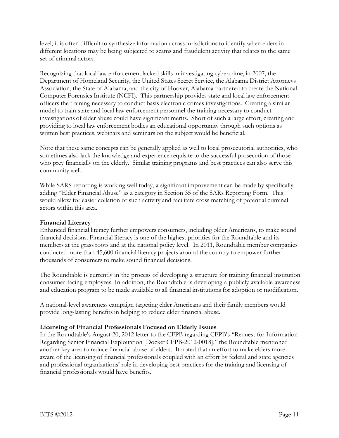level, it is often difficult to synthesize information across jurisdictions to identify when elders in different locations may be being subjected to scams and fraudulent activity that relates to the same set of criminal actors.

Recognizing that local law enforcement lacked skills in investigating cybercrime, in 2007, the Department of Homeland Security, the United States Secret Service, the Alabama District Attorneys Association, the State of Alabama, and the city of Hoover, Alabama partnered to create the National Computer Forensics Institute (NCFI). This partnership provides state and local law enforcement officers the training necessary to conduct basis electronic crimes investigations. Creating a similar model to train state and local law enforcement personnel the training necessary to conduct investigations of elder abuse could have significant merits. Short of such a large effort, creating and providing to local law enforcement bodies an educational opportunity through such options as written best practices, webinars and seminars on the subject would be beneficial.

Note that these same concepts can be generally applied as well to local prosecutorial authorities, who sometimes also lack the knowledge and experience requisite to the successful prosecution of those who prey financially on the elderly. Similar training programs and best practices can also serve this community well.

While SARS reporting is working well today, a significant improvement can be made by specifically adding "Elder Financial Abuse" as a category in Section 35 of the SARs Reporting Form. This would allow for easier collation of such activity and facilitate cross matching of potential criminal actors within this area.

# **Financial Literacy**

Enhanced financial literacy further empowers consumers, including older Americans, to make sound financial decisions. Financial literacy is one of the highest priorities for the Roundtable and its members at the grass roots and at the national policy level. In 2011, Roundtable member companies conducted more than 45,600 financial literacy projects around the country to empower further thousands of consumers to make sound financial decisions.

The Roundtable is currently in the process of developing a structure for training financial institution consumer-facing employees. In addition, the Roundtable is developing a publicly available awareness and education program to be made available to all financial institutions for adoption or modification.

A national-level awareness campaign targeting elder Americans and their family members would provide long-lasting benefits in helping to reduce elder financial abuse.

# **Licensing of Financial Professionals Focused on Elderly Issues**

In the Roundtable's August 20, 2012 letter to the CFPB regarding CFPB's "Request for Information Regarding Senior Financial Exploitation [Docket CFPB-2012-0018]," the Roundtable mentioned another key area to reduce financial abuse of elders. It noted that an effort to make elders more aware of the licensing of financial professionals coupled with an effort by federal and state agencies and professional organizations' role in developing best practices for the training and licensing of financial professionals would have benefits.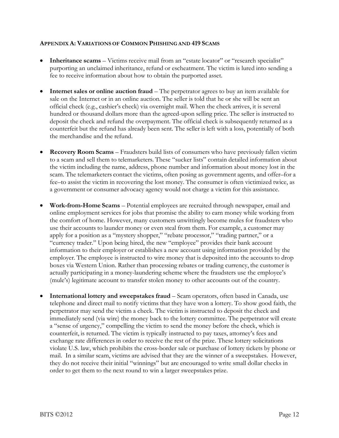#### **APPENDIX A: VARIATIONS OF COMMON PHISHING AND 419 SCAMS**

- **Inheritance scams** Victims receive mail from an "estate locator" or "research specialist" purporting an unclaimed inheritance, refund or escheatment. The victim is lured into sending a fee to receive information about how to obtain the purported asset.
- **Internet sales or online auction fraud**  The perpetrator agrees to buy an item available for sale on the Internet or in an online auction. The seller is told that he or she will be sent an official check (e.g., cashier's check) via overnight mail. When the check arrives, it is several hundred or thousand dollars more than the agreed-upon selling price. The seller is instructed to deposit the check and refund the overpayment. The official check is subsequently returned as a counterfeit but the refund has already been sent. The seller is left with a loss, potentially of both the merchandise and the refund.
- **Recovery Room Scams** Fraudsters build lists of consumers who have previously fallen victim to a scam and sell them to telemarketers. These "sucker lists" contain detailed information about the victim including the name, address, phone number and information about money lost in the scam. The telemarketers contact the victims, often posing as government agents, and offer–for a fee–to assist the victim in recovering the lost money. The consumer is often victimized twice, as a government or consumer advocacy agency would not charge a victim for this assistance.
- **Work-from-Home Scams**  Potential employees are recruited through newspaper, email and online employment services for jobs that promise the ability to earn money while working from the comfort of home. However, many customers unwittingly become mules for fraudsters who use their accounts to launder money or even steal from them. For example, a customer may apply for a position as a "mystery shopper," "rebate processor," "trading partner," or a "currency trader." Upon being hired, the new "employee" provides their bank account information to their employer or establishes a new account using information provided by the employer. The employee is instructed to wire money that is deposited into the accounts to drop boxes via Western Union. Rather than processing rebates or trading currency, the customer is actually participating in a money-laundering scheme where the fraudsters use the employee's (mule's) legitimate account to transfer stolen money to other accounts out of the country.
- **International lottery and sweepstakes fraud** Scam operators, often based in Canada, use telephone and direct mail to notify victims that they have won a lottery. To show good faith, the perpetrator may send the victim a check. The victim is instructed to deposit the check and immediately send (via wire) the money back to the lottery committee. The perpetrator will create a "sense of urgency," compelling the victim to send the money before the check, which is counterfeit, is returned. The victim is typically instructed to pay taxes, attorney's fees and exchange rate differences in order to receive the rest of the prize. These lottery solicitations violate U.S. law, which prohibits the cross-border sale or purchase of lottery tickets by phone or mail. In a similar scam, victims are advised that they are the winner of a sweepstakes. However, they do not receive their initial "winnings" but are encouraged to write small dollar checks in order to get them to the next round to win a larger sweepstakes prize.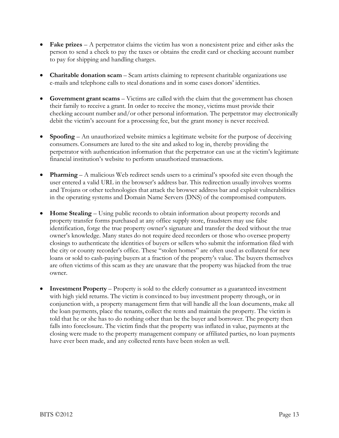- **Fake prizes** A perpetrator claims the victim has won a nonexistent prize and either asks the person to send a check to pay the taxes or obtains the credit card or checking account number to pay for shipping and handling charges.
- **Charitable donation scam** Scam artists claiming to represent charitable organizations use e-mails and telephone calls to steal donations and in some cases donors' identities.
- **Government grant scams** Victims are called with the claim that the government has chosen their family to receive a grant. In order to receive the money, victims must provide their checking account number and/or other personal information. The perpetrator may electronically debit the victim's account for a processing fee, but the grant money is never received.
- **Spoofing** An unauthorized website mimics a legitimate website for the purpose of deceiving consumers. Consumers are lured to the site and asked to log in, thereby providing the perpetrator with authentication information that the perpetrator can use at the victim's legitimate financial institution's website to perform unauthorized transactions.
- **Pharming** A malicious Web redirect sends users to a criminal's spoofed site even though the user entered a valid URL in the browser's address bar. This redirection usually involves worms and Trojans or other technologies that attack the browser address bar and exploit vulnerabilities in the operating systems and Domain Name Servers (DNS) of the compromised computers.
- **Home Stealing** Using public records to obtain information about property records and property transfer forms purchased at any office supply store, fraudsters may use false identification, forge the true property owner's signature and transfer the deed without the true owner's knowledge. Many states do not require deed recorders or those who oversee property closings to authenticate the identities of buyers or sellers who submit the information filed with the city or county recorder's office. These "stolen homes" are often used as collateral for new loans or sold to cash-paying buyers at a fraction of the property's value. The buyers themselves are often victims of this scam as they are unaware that the property was hijacked from the true owner.
- **Investment Property** Property is sold to the elderly consumer as a guaranteed investment with high yield returns. The victim is convinced to buy investment property through, or in conjunction with, a property management firm that will handle all the loan documents, make all the loan payments, place the tenants, collect the rents and maintain the property. The victim is told that he or she has to do nothing other than be the buyer and borrower. The property then falls into foreclosure. The victim finds that the property was inflated in value, payments at the closing were made to the property management company or affiliated parties, no loan payments have ever been made, and any collected rents have been stolen as well.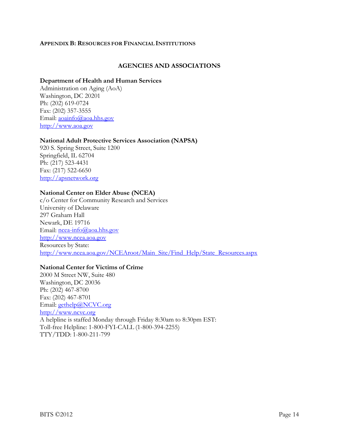#### **APPENDIX B: RESOURCES FOR FINANCIAL INSTITUTIONS**

#### **AGENCIES AND ASSOCIATIONS**

#### **Department of Health and Human Services**

Administration on Aging (AoA) Washington, DC 20201 Ph: (202) 619-0724 Fax: (202) 357-3555 Email: [aoainfo@aoa.hhs.gov](mailto:aoainfo@aoa.hhs.gov) [http://www.aoa.gov](http://www.aoa.gov/)

#### **National Adult Protective Services Association (NAPSA)**

920 S. Spring Street, Suite 1200 Springfield, IL 62704 Ph: (217) 523-4431 Fax: (217) 522-6650 [http://apsnetwork.org](http://apsnetwork.org/)

#### **National Center on Elder Abuse (NCEA)**

c/o Center for Community Research and Services University of Delaware 297 Graham Hall Newark, DE 19716 Email: ncea-info@aoa.hhs.gov [http://www.ncea.aoa.gov](http://www.ncea.aoa.gov/)  Resources by State: [http://www.ncea.aoa.gov/NCEAroot/Main\\_Site/Find\\_Help/State\\_Resources.aspx](http://www.ncea.aoa.gov/NCEAroot/Main_Site/Find_Help/State_Resources.aspx)

#### **National Center for Victims of Crime**

2000 M Street NW, Suite 480 Washington, DC 20036 Ph: (202) 467-8700 Fax: (202) 467-8701 Email: [gethelp@NCVC.org](mailto:gethelp@NCVC.org) [http://www.ncvc.org](http://www.ncvc.org/) A helpline is staffed Monday through Friday 8:30am to 8:30pm EST: Toll-free Helpline: 1-800-FYI-CALL (1-800-394-2255) TTY/TDD: 1-800-211-799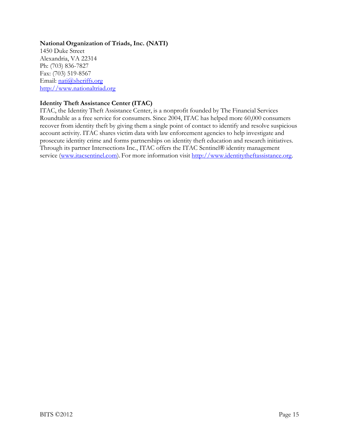# **National Organization of Triads, Inc. (NATI)**

1450 Duke Street Alexandria, VA 22314 Ph: (703) 836-7827 Fax: (703) 519-8567 Email: [nati@sheriffs.org](mailto:nati@sheriffs.org) [http://www.nationaltriad.org](http://www.nationaltriad.org/)

# **Identity Theft Assistance Center (ITAC)**

ITAC, the Identity Theft Assistance Center, is a nonprofit founded by The Financial Services Roundtable as a free service for consumers. Since 2004, ITAC has helped more 60,000 consumers recover from identity theft by giving them a single point of contact to identify and resolve suspicious account activity. ITAC shares victim data with law enforcement agencies to help investigate and prosecute identity crime and forms partnerships on identity theft education and research initiatives. Through its partner Intersections Inc., ITAC offers the ITAC Sentinel® identity management service [\(www.itacsentinel.com\)](http://www.itacsentinel.com/). For more information visit [http://www.identitytheftassistance.org.](http://www.identitytheftassistance.org/)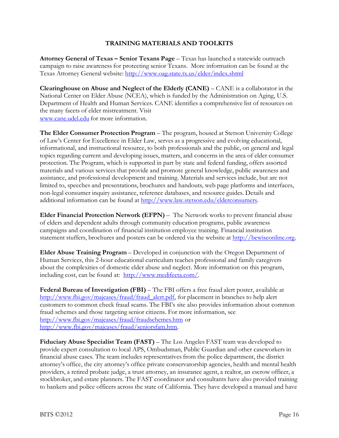# **TRAINING MATERIALS AND TOOLKITS**

**Attorney General of Texas – Senior Texans Page** – Texas has launched a statewide outreach campaign to raise awareness for protecting senior Texans. More information can be found at the Texas Attorney General website: <http://www.oag.state.tx.us/elder/index.shtml>

**Clearinghouse on Abuse and Neglect of the Elderly (CANE)** – CANE is a collaborator in the National Center on Elder Abuse (NCEA), which is funded by the Administration on Aging, U.S. Department of Health and Human Services. CANE identifies a comprehensive list of resources on the many facets of elder mistreatment. Visit [www.cane.udel.edu f](http://www.cane.udel.edu/)or more information.

**The Elder Consumer Protection Program** – The program, housed at Stetson University College of Law's Center for Excellence in Elder Law, serves as a progressive and evolving educational, informational, and instructional resource, to both professionals and the public, on general and legal topics regarding current and developing issues, matters, and concerns in the area of elder consumer protection. The Program, which is supported in part by state and federal funding, offers assorted materials and various services that provide and promote general knowledge, public awareness and assistance, and professional development and training. Materials and services include, but are not limited to, speeches and presentations, brochures and handouts, web page platforms and interfaces, non-legal consumer inquiry assistance, reference databases, and resource guides. Details and additional information can be found at [http://www.law.stetson.edu/elderconsumers.](http://www.law.stetson.edu/elderconsumers)

**Elder Financial Protection Network (EFPN)** – The Network works to prevent financial abuse of elders and dependent adults through community education programs, public awareness campaigns and coordination of financial institution employee training. Financial institution statement stuffers, brochures and posters can be ordered via the website at [http://bewiseonline.org.](http://bewiseonline.org/)

**Elder Abuse Training Program** – Developed in conjunction with the Oregon Department of Human Services, this 2-hour educational curriculum teaches professional and family caregivers about the complexities of domestic elder abuse and neglect. More information on this program, including cost, can be found at: [http://www.medifecta.com/.](http://www.medifecta.com/)

**Federal Bureau of Investigation (FBI)** – The FBI offers a free fraud alert poster, available at [http://www.fbi.gov/majcases/fraud/fraud\\_alert.pdf, f](http://www.fbi.gov/majcases/fraud/fraud_alert.pdf)or placement in branches to help alert customers to common check fraud scams. The FBI's site also provides information about common fraud schemes and those targeting senior citizens. For more information, see <http://www.fbi.gov/majcases/fraud/fraudschemes.htm> or [http://www.fbi.gov/majcases/fraud/seniorsfam.htm.](http://www.fbi.gov/majcases/fraud/seniorsfam.htm)

**Fiduciary Abuse Specialist Team (FAST)** – The Los Angeles FAST team was developed to provide expert consultation to local APS, Ombudsman, Public Guardian and other caseworkers in financial abuse cases. The team includes representatives from the police department, the district attorney's office, the city attorney's office private conservatorship agencies, health and mental health providers, a retired probate judge, a trust attorney, an insurance agent, a realtor, an escrow officer, a stockbroker, and estate planners. The FAST coordinator and consultants have also provided training to bankers and police officers across the state of California. They have developed a manual and have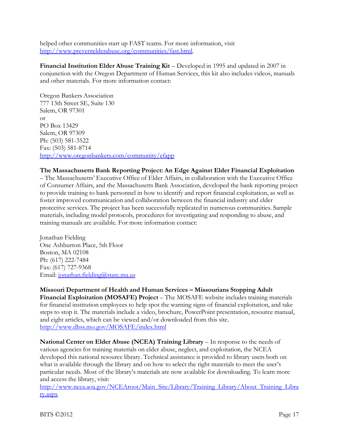helped other communities start up FAST teams. For more information, visit [http://www.preventelderabuse.org/communities/fast.html.](http://www.preventelderabuse.org/communities/fast.html)

**Financial Institution Elder Abuse Training Kit** – Developed in 1995 and updated in 2007 in conjunction with the Oregon Department of Human Services, this kit also includes videos, manuals and other materials. For more information contact:

Oregon Bankers Association 777 13th Street SE, Suite 130 Salem, OR 97301 or PO Box 13429 Salem, OR 97309 Ph: (503) 581-3522 Fax: (503) 581-8714 <http://www.oregonbankers.com/community/efapp>

# **The Massachusetts Bank Reporting Project: An Edge Against Elder Financial Exploitation**

– The Massachusetts' Executive Office of Elder Affairs, in collaboration with the Executive Office of Consumer Affairs, and the Massachusetts Bank Association, developed the bank reporting project to provide training to bank personnel in how to identify and report financial exploitation, as well as foster improved communication and collaboration between the financial industry and elder protective services. The project has been successfully replicated in numerous communities. Sample materials, including model protocols, procedures for investigating and responding to abuse, and training manuals are available. For more information contact:

Jonathan Fielding One Ashburton Place, 5th Floor Boston, MA 02108 Ph: (617) 222-7484 Fax: (617) 727-9368 Email: [jonathan.fielding@state.ma.us](mailto:jonathan.fielding@state.ma.us)

**Missouri Department of Health and Human Services – Missourians Stopping Adult Financial Exploitation (MOSAFE) Project** – The MOSAFE website includes training materials for financial institution employees to help spot the warning signs of financial exploitation, and take steps to stop it. The materials include a video, brochure, PowerPoint presentation, resource manual, and eight articles, which can be viewed and/or downloaded from this site. <http://www.dhss.mo.gov/MOSAFE/index.html>

**National Center on Elder Abuse (NCEA) Training Library** – In response to the needs of various agencies for training materials on elder abuse, neglect, and exploitation, the NCEA developed this national resource library. Technical assistance is provided to library users both on what is available through the library and on how to select the right materials to meet the user's particular needs. Most of the library's materials are now available for downloading. To learn more and access the library, visit:

[http://www.ncea.aoa.gov/NCEAroot/Main\\_Site/Library/Training\\_Library/About\\_Training\\_Libra](http://www.ncea.aoa.gov/NCEAroot/Main_Site/Library/Training_Library/About_Training_Library.aspx) [ry.aspx](http://www.ncea.aoa.gov/NCEAroot/Main_Site/Library/Training_Library/About_Training_Library.aspx)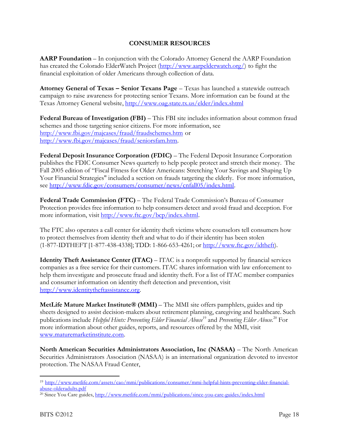# **CONSUMER RESOURCES**

**AARP Foundation** – In conjunction with the Colorado Attorney General the AARP Foundation has created the Colorado ElderWatch Project [\(http://www.aarpelderwatch.org/\)](http://www.aarpelderwatch.org/) to fight the financial exploitation of older Americans through collection of data.

**Attorney General of Texas – Senior Texans Page** – Texas has launched a statewide outreach campaign to raise awareness for protecting senior Texans. More information can be found at the Texas Attorney General website,<http://www.oag.state.tx.us/elder/index.shtml>

**Federal Bureau of Investigation (FBI)** – This FBI site includes information about common fraud schemes and those targeting senior citizens. For more information, see <http://www.fbi.gov/majcases/fraud/fraudschemes.htm> or [http://www.fbi.gov/majcases/fraud/seniorsfam.htm.](http://www.fbi.gov/majcases/fraud/seniorsfam.htm)

**Federal Deposit Insurance Corporation (FDIC)** – The Federal Deposit Insurance Corporation publishes the FDIC Consumer News quarterly to help people protect and stretch their money. The Fall 2005 edition of "Fiscal Fitness for Older Americans: Stretching Your Savings and Shaping Up Your Financial Strategies" included a section on frauds targeting the elderly. For more information, see [http://www.fdic.gov/consumers/consumer/news/cnfall05/index.html.](http://www.fdic.gov/consumers/consumer/news/cnfall05/index.html)

**Federal Trade Commission (FTC)** – The Federal Trade Commission's Bureau of Consumer Protection provides free information to help consumers detect and avoid fraud and deception. For more information, visit [http://www.ftc.gov/bcp/index.shtml.](http://www.ftc.gov/bcp/index.shtml)

The FTC also operates a call center for identity theft victims where counselors tell consumers how to protect themselves from identity theft and what to do if their identity has been stolen (1-877-IDTHEFT [1-877-438-4338]; TDD: 1-866-653-4261; or [http://www.ftc.gov/idtheft\)](http://www.ftc.gov/idtheft).

**Identity Theft Assistance Center (ITAC)** – ITAC is a nonprofit supported by financial services companies as a free service for their customers. ITAC shares information with law enforcement to help them investigate and prosecute fraud and identity theft. For a list of ITAC member companies and consumer information on identity theft detection and prevention, visit [http://www.identitytheftassistance.org.](http://www.identitytheftassistance.org/)

**MetLife Mature Market Institute® (MMI)** – The MMI site offers pamphlets, guides and tip sheets designed to assist decision-makers about retirement planning, caregiving and healthcare. Such publications include *Helpful Hints: Preventing Elder Financial Abuse* <sup>19</sup> and *Preventing Elder Abuse.* <sup>20</sup> For more information about other guides, reports, and resources offered by the MMI, visit [www.maturemarketinstitute.com.](http://www.maturemarketinstitute.com/)

**North American Securities Administrators Association, Inc (NASAA)** – The North American Securities Administrators Association (NASAA) is an international organization devoted to investor protection. The NASAA Fraud Center,

<sup>19</sup> [http://www.metlife.com/assets/cao/mmi/publications/consumer/mmi-helpful-hints-preventing-elder-financial](http://www.metlife.com/assets/cao/mmi/publications/consumer/mmi-helpful-hints-preventing-elder-financial-abuse-olderadults.pdf)[abuse-olderadults.pdf](http://www.metlife.com/assets/cao/mmi/publications/consumer/mmi-helpful-hints-preventing-elder-financial-abuse-olderadults.pdf)

<sup>&</sup>lt;sup>20</sup> Since You Care guides[, http://www.metlife.com/mmi/publications/since-you-care-guides/index.html](http://www.metlife.com/mmi/publications/since-you-care-guides/index.html)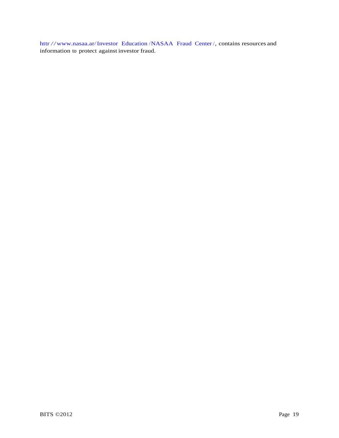httr [//www.nasaa.ar/Investor Education](http://www.nasaa.org/Investor_Education/NASAA_Fraud_Center/) /NASAA Fraud Center /, contains resources and information to protect against investor fraud.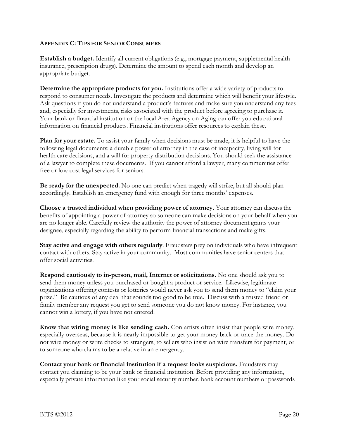#### **APPENDIX C: TIPS FOR SENIOR CONSUMERS**

**Establish a budget.** Identify all current obligations (e.g., mortgage payment, supplemental health insurance, prescription drugs). Determine the amount to spend each month and develop an appropriate budget.

**Determine the appropriate products for you.** Institutions offer a wide variety of products to respond to consumer needs. Investigate the products and determine which will benefit your lifestyle. Ask questions if you do not understand a product's features and make sure you understand any fees and, especially for investments, risks associated with the product before agreeing to purchase it. Your bank or financial institution or the local Area Agency on Aging can offer you educational information on financial products. Financial institutions offer resources to explain these.

**Plan for your estate.** To assist your family when decisions must be made, it is helpful to have the following legal documents: a durable power of attorney in the case of incapacity, living will for health care decisions, and a will for property distribution decisions. You should seek the assistance of a lawyer to complete these documents. If you cannot afford a lawyer, many communities offer free or low cost legal services for seniors.

**Be ready for the unexpected.** No one can predict when tragedy will strike, but all should plan accordingly. Establish an emergency fund with enough for three months' expenses.

**Choose a trusted individual when providing power of attorney.** Your attorney can discuss the benefits of appointing a power of attorney so someone can make decisions on your behalf when you are no longer able. Carefully review the authority the power of attorney document grants your designee, especially regarding the ability to perform financial transactions and make gifts.

**Stay active and engage with others regularly**. Fraudsters prey on individuals who have infrequent contact with others. Stay active in your community. Most communities have senior centers that offer social activities.

**Respond cautiously to in-person, mail, Internet or solicitations.** No one should ask you to send them money unless you purchased or bought a product or service. Likewise, legitimate organizations offering contests or lotteries would never ask you to send them money to "claim your prize." Be cautious of any deal that sounds too good to be true. Discuss with a trusted friend or family member any request you get to send someone you do not know money. For instance, you cannot win a lottery, if you have not entered.

**Know that wiring money is like sending cash.** Con artists often insist that people wire money, especially overseas, because it is nearly impossible to get your money back or trace the money. Do not wire money or write checks to strangers, to sellers who insist on wire transfers for payment, or to someone who claims to be a relative in an emergency.

**Contact your bank or financial institution if a request looks suspicious.** Fraudsters may contact you claiming to be your bank or financial institution. Before providing any information, especially private information like your social security number, bank account numbers or passwords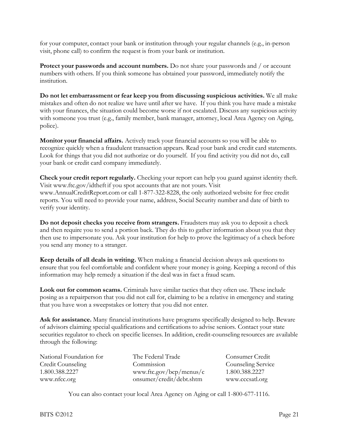for your computer, contact your bank or institution through your regular channels (e.g., in-person visit, phone call) to confirm the request is from your bank or institution.

**Protect your passwords and account numbers.** Do not share your passwords and / or account numbers with others. If you think someone has obtained your password, immediately notify the institution.

**Do not let embarrassment or fear keep you from discussing suspicious activities.** We all make mistakes and often do not realize we have until after we have. If you think you have made a mistake with your finances, the situation could become worse if not escalated. Discuss any suspicious activity with someone you trust (e.g., family member, bank manager, attorney, local Area Agency on Aging, police).

**Monitor your financial affairs.** Actively track your financial accounts so you will be able to recognize quickly when a fraudulent transaction appears. Read your bank and credit card statements. Look for things that you did not authorize or do yourself. If you find activity you did not do, call your bank or credit card company immediately.

**Check your credit report regularly.** Checking your report can help you guard against identity theft. Visit [www.ftc.gov/idtheft](http://www.ftc.gov/idtheft) if you spot accounts that are not yours. Visi[t](http://www.annualcreditreport.com/) [www.AnnualCreditReport.co](http://www.annualcreditreport.com/)m or call 1-877-322-8228, the only authorized website for free credit reports. You will need to provide your name, address, Social Security number and date of birth to verify your identity.

**Do not deposit checks you receive from strangers.** Fraudsters may ask you to deposit a check and then require you to send a portion back. They do this to gather information about you that they then use to impersonate you. Ask your institution for help to prove the legitimacy of a check before you send any money to a stranger.

**Keep details of all deals in writing.** When making a financial decision always ask questions to ensure that you feel comfortable and confident where your money is going. Keeping a record of this information may help remedy a situation if the deal was in fact a fraud scam.

**Look out for common scams.** Criminals have similar tactics that they often use. These include posing as a repairperson that you did not call for, claiming to be a relative in emergency and stating that you have won a sweepstakes or lottery that you did not enter.

**Ask for assistance.** Many financial institutions have programs specifically designed to help. Beware of advisors claiming special qualifications and certifications to advise seniors. Contact your state securities regulator to check on specific licenses. In addition, credit-counseling resources are available through the following:

| National Foundation for | The Federal Trade        | Consumer Credit    |
|-------------------------|--------------------------|--------------------|
| Credit Counseling       | Commission               | Counseling Service |
| 1.800.388.2227          | www.ftc.gov/bcp/menus/c  | 1.800.388.2227     |
| www.nfcc.org            | onsumer/credit/debt.shtm | www.cccsatl.org    |

You can also contact your local Area Agency on Aging or call 1-800-677-1116.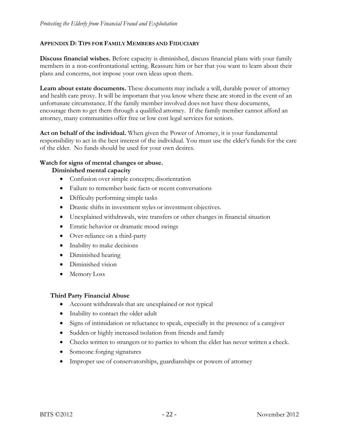### **APPENDIX D: TIPS FOR FAMILY MEMBERS AND FIDUCIARY**

**Discuss financial wishes.** Before capacity is diminished, discuss financial plans with your family members in a non-confrontational setting. Reassure him or her that you want to learn about their plans and concerns, not impose your own ideas upon them.

**Learn about estate documents.** These documents may include a will, durable power of attorney and health care proxy. It will be important that you know where these are stored in the event of an unfortunate circumstance. If the family member involved does not have these documents, encourage them to get them through a qualified attorney. If the family member cannot afford an attorney, many communities offer free or low cost legal services for seniors.

**Act on behalf of the individual.** When given the Power of Attorney, it is your fundamental responsibility to act in the best interest of the individual. You must use the elder's funds for the care of the elder. No funds should be used for your own desires.

#### **Watch for signs of mental changes or abuse.**

**Diminished mental capacity**

- Confusion over simple concepts; disorientation
- Failure to remember basic facts or recent conversations
- Difficulty performing simple tasks
- Drastic shifts in investment styles or investment objectives.
- Unexplained withdrawals, wire transfers or other changes in financial situation
- Erratic behavior or dramatic mood swings
- Over-reliance on a third-party
- Inability to make decisions
- Diminished hearing
- Diminished vision
- Memory Loss

#### **Third Party Financial Abuse**

- Account withdrawals that are unexplained or not typical
- Inability to contact the older adult
- Signs of intimidation or reluctance to speak, especially in the presence of a caregiver
- Sudden or highly increased isolation from friends and family
- Checks written to strangers or to parties to whom the elder has never written a check.
- Someone forging signatures
- Improper use of conservatorships, guardianships or powers of attorney